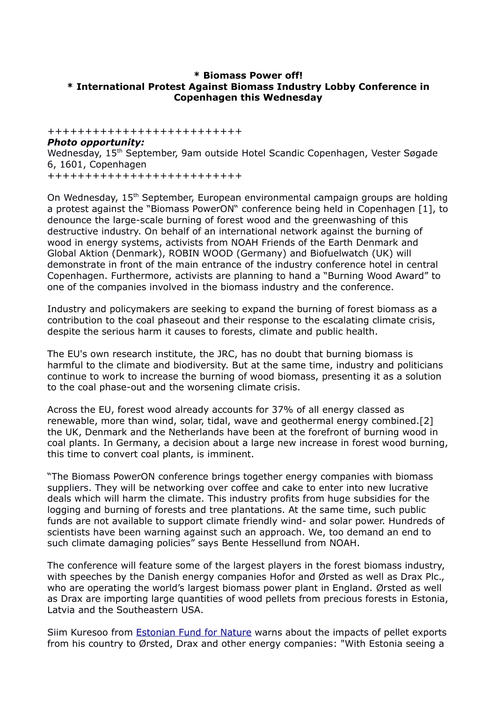### **\* Biomass Power off! \* International Protest Against Biomass Industry Lobby Conference in Copenhagen this Wednesday**

++++++++++++++++++++++++++

# *Photo opportunity:* Wednesday, 15<sup>th</sup> September, 9am outside Hotel Scandic Copenhagen, Vester Søgade 6, 1601, Copenhagen

++++++++++++++++++++++++++

On Wednesday, 15<sup>th</sup> September, European environmental campaign groups are holding a protest against the "Biomass PowerON" conference being held in Copenhagen [1], to denounce the large-scale burning of forest wood and the greenwashing of this destructive industry. On behalf of an international network against the burning of wood in energy systems, activists from NOAH Friends of the Earth Denmark and Global Aktion (Denmark), ROBIN WOOD (Germany) and Biofuelwatch (UK) will demonstrate in front of the main entrance of the industry conference hotel in central Copenhagen. Furthermore, activists are planning to hand a "Burning Wood Award" to one of the companies involved in the biomass industry and the conference.

Industry and policymakers are seeking to expand the burning of forest biomass as a contribution to the coal phaseout and their response to the escalating climate crisis, despite the serious harm it causes to forests, climate and public health.

The EU's own research institute, the JRC, has no doubt that burning biomass is harmful to the climate and biodiversity. But at the same time, industry and politicians continue to work to increase the burning of wood biomass, presenting it as a solution to the coal phase-out and the worsening climate crisis.

Across the EU, forest wood already accounts for 37% of all energy classed as renewable, more than wind, solar, tidal, wave and geothermal energy combined.[2] the UK, Denmark and the Netherlands have been at the forefront of burning wood in coal plants. In Germany, a decision about a large new increase in forest wood burning, this time to convert coal plants, is imminent.

"The Biomass PowerON conference brings together energy companies with biomass suppliers. They will be networking over coffee and cake to enter into new lucrative deals which will harm the climate. This industry profits from huge subsidies for the logging and burning of forests and tree plantations. At the same time, such public funds are not available to support climate friendly wind- and solar power. Hundreds of scientists have been warning against such an approach. We, too demand an end to such climate damaging policies" says Bente Hessellund from NOAH.

The conference will feature some of the largest players in the forest biomass industry, with speeches by the Danish energy companies Hofor and Ørsted as well as Drax Plc., who are operating the world's largest biomass power plant in England. Ørsted as well as Drax are importing large quantities of wood pellets from precious forests in Estonia, Latvia and the Southeastern USA.

Siim Kuresoo from **Estonian Fund for Nature** warns about the impacts of pellet exports from his country to Ørsted, Drax and other energy companies: "With Estonia seeing a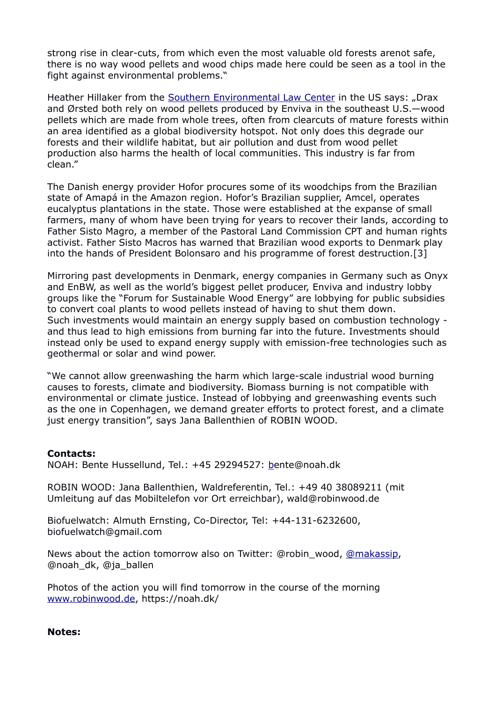strong rise in clear-cuts, from which even the most valuable old forests arenot safe, there is no way wood pellets and wood chips made here could be seen as a tool in the fight against environmental problems."

Heather Hillaker from the [Southern Environmental Law Center](https://www.southernenvironment.org/) in the US says: "Drax and Ørsted both rely on wood pellets produced by Enviva in the southeast U.S.—wood pellets which are made from whole trees, often from clearcuts of mature forests within an area identified as a global biodiversity hotspot. Not only does this degrade our forests and their wildlife habitat, but air pollution and dust from wood pellet production also harms the health of local communities. This industry is far from clean."

The Danish energy provider Hofor procures some of its woodchips from the Brazilian state of Amapá in the Amazon region. Hofor's Brazilian supplier, Amcel, operates eucalyptus plantations in the state. Those were established at the expanse of small farmers, many of whom have been trying for years to recover their lands, according to Father Sisto Magro, a member of the Pastoral Land Commission CPT and human rights activist. Father Sisto Macros has warned that Brazilian wood exports to Denmark play into the hands of President Bolonsaro and his programme of forest destruction.[3]

Mirroring past developments in Denmark, energy companies in Germany such as Onyx and EnBW, as well as the world's biggest pellet producer, Enviva and industry lobby groups like the "Forum for Sustainable Wood Energy" are lobbying for public subsidies to convert coal plants to wood pellets instead of having to shut them down. Such investments would maintain an energy supply based on combustion technology and thus lead to high emissions from burning far into the future. Investments should instead only be used to expand energy supply with emission-free technologies such as geothermal or solar and wind power.

"We cannot allow greenwashing the harm which large-scale industrial wood burning causes to forests, climate and biodiversity. Biomass burning is not compatible with environmental or climate justice. Instead of lobbying and greenwashing events such as the one in Copenhagen, we demand greater efforts to protect forest, and a climate just energy transition", says Jana Ballenthien of ROBIN WOOD.

#### **Contacts:**

NOAH: Bente Hussellund, Tel.: +45 29294527: [be](mailto:mads@noah.dk)nte@noah.dk

ROBIN WOOD: Jana Ballenthien, Waldreferentin, Tel.: +49 40 38089211 (mit Umleitung auf das Mobiltelefon vor Ort erreichbar), wald@robinwood.de

Biofuelwatch: Almuth Ernsting, Co-Director, Tel: +44-131-6232600, biofuelwatch@gmail.com

News about the action tomorrow also on Twitter: @robin\_wood, [@makassip,](https://twitter.com/makassip) @noah\_dk, @ja\_ballen

Photos of the action you will find tomorrow in the course of the morning [www.robinwood.de,](http://www.robinwood.de/) https://noah.dk/

**Notes:**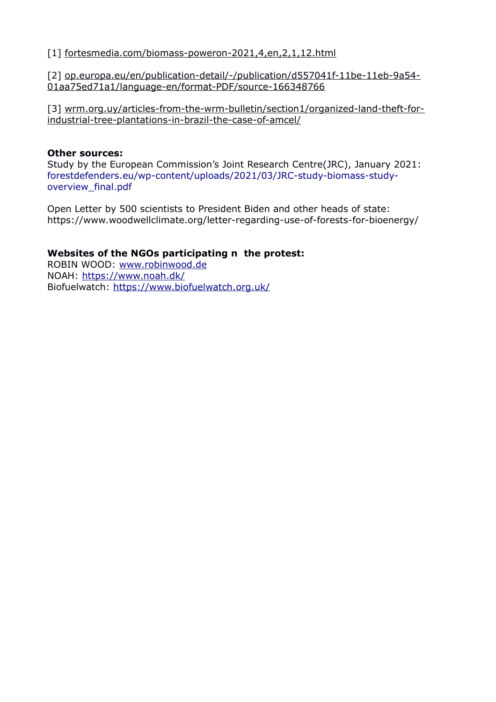[1] [fortesmedia.com/biomass-poweron-2021,4,en,2,1,12.html](https://fortesmedia.com/biomass-poweron-2021,4,en,2,1,12.html)

[2] [op.europa.eu/en/publication-detail/-/publication/d557041f-11be-11eb-9a54-](https://op.europa.eu/en/publication-detail/-/publication/d557041f-11be-11eb-9a54-01aa75ed71a1/language-en/format-PDF/source-166348766) [01aa75ed71a1/language-en/format-PDF/source-166348766](https://op.europa.eu/en/publication-detail/-/publication/d557041f-11be-11eb-9a54-01aa75ed71a1/language-en/format-PDF/source-166348766)

[3] [wrm.org.uy/articles-from-the-wrm-bulletin/section1/organized-land-theft-for](https://wrm.org.uy/articles-from-the-wrm-bulletin/section1/organized-land-theft-for-industrial-tree-plantations-in-brazil-the-case-of-amcel/)[industrial-tree-plantations-in-brazil-the-case-of-amcel/](https://wrm.org.uy/articles-from-the-wrm-bulletin/section1/organized-land-theft-for-industrial-tree-plantations-in-brazil-the-case-of-amcel/)

### **Other sources:**

Study by the European Commission's Joint Research Centre(JRC), January 2021: [forestdefenders.eu/wp-content/uploads/2021/03/JRC-study-biomass-study](https://forestdefenders.eu/wp-content/uploads/2021/03/JRC-study-biomass-study-overview_final.pdf)[overview\\_final.pdf](https://forestdefenders.eu/wp-content/uploads/2021/03/JRC-study-biomass-study-overview_final.pdf)

Open Letter by 500 scientists to President Biden and other heads of state: <https://www.woodwellclimate.org/letter-regarding-use-of-forests-for-bioenergy/>

### **Websites of the NGOs participating n the protest:**

ROBIN WOOD: [www.robinwood.de](http://www.robinwood.de/) NOAH:<https://www.noah.dk/> Biofuelwatch:<https://www.biofuelwatch.org.uk/>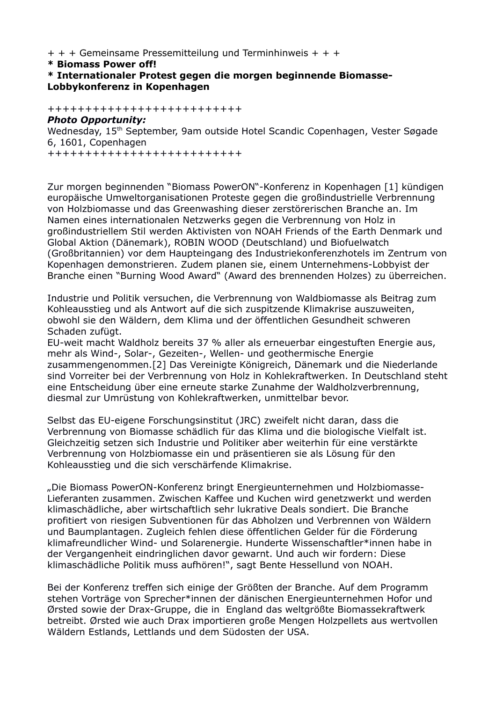+ + + Gemeinsame Pressemitteilung und Terminhinweis + + +

**\* Biomass Power off!**

```
* Internationaler Protest gegen die morgen beginnende Biomasse-
Lobbykonferenz in Kopenhagen
```
++++++++++++++++++++++++++ *Photo Opportunity:* Wednesday, 15<sup>th</sup> September, 9am outside Hotel Scandic Copenhagen, Vester Søgade 6, 1601, Copenhagen

++++++++++++++++++++++++++

Zur morgen beginnenden "Biomass PowerON"-Konferenz in Kopenhagen [1] kündigen europäische Umweltorganisationen Proteste gegen die großindustrielle Verbrennung von Holzbiomasse und das Greenwashing dieser zerstörerischen Branche an. Im Namen eines internationalen Netzwerks gegen die Verbrennung von Holz in großindustriellem Stil werden Aktivisten von NOAH Friends of the Earth Denmark und Global Aktion (Dänemark), ROBIN WOOD (Deutschland) und Biofuelwatch (Großbritannien) vor dem Haupteingang des Industriekonferenzhotels im Zentrum von Kopenhagen demonstrieren. Zudem planen sie, einem Unternehmens-Lobbyist der Branche einen "Burning Wood Award" (Award des brennenden Holzes) zu überreichen.

Industrie und Politik versuchen, die Verbrennung von Waldbiomasse als Beitrag zum Kohleausstieg und als Antwort auf die sich zuspitzende Klimakrise auszuweiten, obwohl sie den Wäldern, dem Klima und der öffentlichen Gesundheit schweren Schaden zufügt.

EU-weit macht Waldholz bereits 37 % aller als erneuerbar eingestuften Energie aus, mehr als Wind-, Solar-, Gezeiten-, Wellen- und geothermische Energie zusammengenommen.[2] Das Vereinigte Königreich, Dänemark und die Niederlande sind Vorreiter bei der Verbrennung von Holz in Kohlekraftwerken. In Deutschland steht eine Entscheidung über eine erneute starke Zunahme der Waldholzverbrennung, diesmal zur Umrüstung von Kohlekraftwerken, unmittelbar bevor.

Selbst das EU-eigene Forschungsinstitut (JRC) zweifelt nicht daran, dass die Verbrennung von Biomasse schädlich für das Klima und die biologische Vielfalt ist. Gleichzeitig setzen sich Industrie und Politiker aber weiterhin für eine verstärkte Verbrennung von Holzbiomasse ein und präsentieren sie als Lösung für den Kohleausstieg und die sich verschärfende Klimakrise.

"Die Biomass PowerON-Konferenz bringt Energieunternehmen und Holzbiomasse-Lieferanten zusammen. Zwischen Kaffee und Kuchen wird genetzwerkt und werden klimaschädliche, aber wirtschaftlich sehr lukrative Deals sondiert. Die Branche profitiert von riesigen Subventionen für das Abholzen und Verbrennen von Wäldern und Baumplantagen. Zugleich fehlen diese öffentlichen Gelder für die Förderung klimafreundlicher Wind- und Solarenergie. Hunderte Wissenschaftler\*innen habe in der Vergangenheit eindringlichen davor gewarnt. Und auch wir fordern: Diese klimaschädliche Politik muss aufhören!", sagt Bente Hessellund von NOAH.

Bei der Konferenz treffen sich einige der Größten der Branche. Auf dem Programm stehen Vorträge von Sprecher\*innen der dänischen Energieunternehmen Hofor und Ørsted sowie der Drax-Gruppe, die in England das weltgrößte Biomassekraftwerk betreibt. Ørsted wie auch Drax importieren große Mengen Holzpellets aus wertvollen Wäldern Estlands, Lettlands und dem Südosten der USA.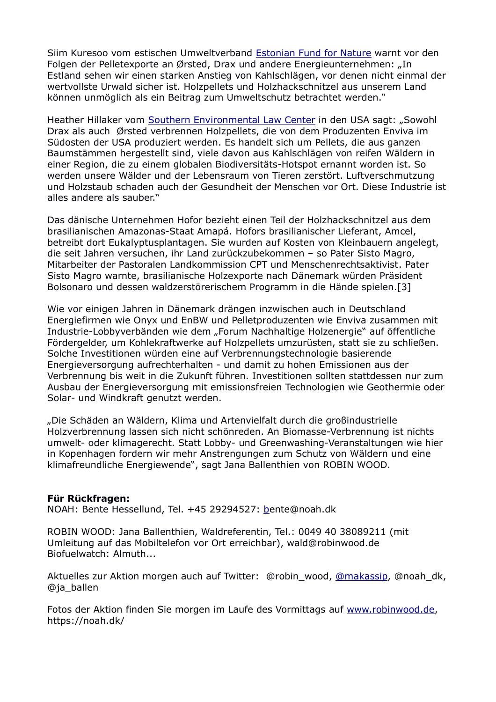Siim Kuresoo vom estischen Umweltverband [Estonian Fund for Nature](https://elfond.ee/en) warnt vor den Folgen der Pelletexporte an Ørsted, Drax und andere Energieunternehmen: "In Estland sehen wir einen starken Anstieg von Kahlschlägen, vor denen nicht einmal der wertvollste Urwald sicher ist. Holzpellets und Holzhackschnitzel aus unserem Land können unmöglich als ein Beitrag zum Umweltschutz betrachtet werden."

Heather Hillaker vom [Southern Environmental Law Center](https://www.southernenvironment.org/) in den USA sagt: "Sowohl Drax als auch Ørsted verbrennen Holzpellets, die von dem Produzenten Enviva im Südosten der USA produziert werden. Es handelt sich um Pellets, die aus ganzen Baumstämmen hergestellt sind, viele davon aus Kahlschlägen von reifen Wäldern in einer Region, die zu einem globalen Biodiversitäts-Hotspot ernannt worden ist. So werden unsere Wälder und der Lebensraum von Tieren zerstört. Luftverschmutzung und Holzstaub schaden auch der Gesundheit der Menschen vor Ort. Diese Industrie ist alles andere als sauber."

Das dänische Unternehmen Hofor bezieht einen Teil der Holzhackschnitzel aus dem brasilianischen Amazonas-Staat Amapá. Hofors brasilianischer Lieferant, Amcel, betreibt dort Eukalyptusplantagen. Sie wurden auf Kosten von Kleinbauern angelegt, die seit Jahren versuchen, ihr Land zurückzubekommen – so Pater Sisto Magro, Mitarbeiter der Pastoralen Landkommission CPT und Menschenrechtsaktivist. Pater Sisto Magro warnte, brasilianische Holzexporte nach Dänemark würden Präsident Bolsonaro und dessen waldzerstörerischem Programm in die Hände spielen.[3]

Wie vor einigen Jahren in Dänemark drängen inzwischen auch in Deutschland Energiefirmen wie Onyx und EnBW und Pelletproduzenten wie Enviva zusammen mit Industrie-Lobbyverbänden wie dem "Forum Nachhaltige Holzenergie" auf öffentliche Fördergelder, um Kohlekraftwerke auf Holzpellets umzurüsten, statt sie zu schließen. Solche Investitionen würden eine auf Verbrennungstechnologie basierende Energieversorgung aufrechterhalten - und damit zu hohen Emissionen aus der Verbrennung bis weit in die Zukunft führen. Investitionen sollten stattdessen nur zum Ausbau der Energieversorgung mit emissionsfreien Technologien wie Geothermie oder Solar- und Windkraft genutzt werden.

"Die Schäden an Wäldern, Klima und Artenvielfalt durch die großindustrielle Holzverbrennung lassen sich nicht schönreden. An Biomasse-Verbrennung ist nichts umwelt- oder klimagerecht. Statt Lobby- und Greenwashing-Veranstaltungen wie hier in Kopenhagen fordern wir mehr Anstrengungen zum Schutz von Wäldern und eine klimafreundliche Energiewende", sagt Jana Ballenthien von ROBIN WOOD.

#### **Für Rückfragen:**

NOAH: Bente Hessellund, Tel. +45 29294527: [be](mailto:mads@noah.dk)nte@noah.dk

ROBIN WOOD: Jana Ballenthien, Waldreferentin, Tel.: 0049 40 38089211 (mit Umleitung auf das Mobiltelefon vor Ort erreichbar), wald@robinwood.de Biofuelwatch: Almuth...

Aktuelles zur Aktion morgen auch auf Twitter: @robin\_wood, [@makassip,](https://twitter.com/makassip) @noah\_dk, @ja\_ballen

Fotos der Aktion finden Sie morgen im Laufe des Vormittags auf [www.robinwood.de,](http://www.robinwood.de/) https://noah.dk/